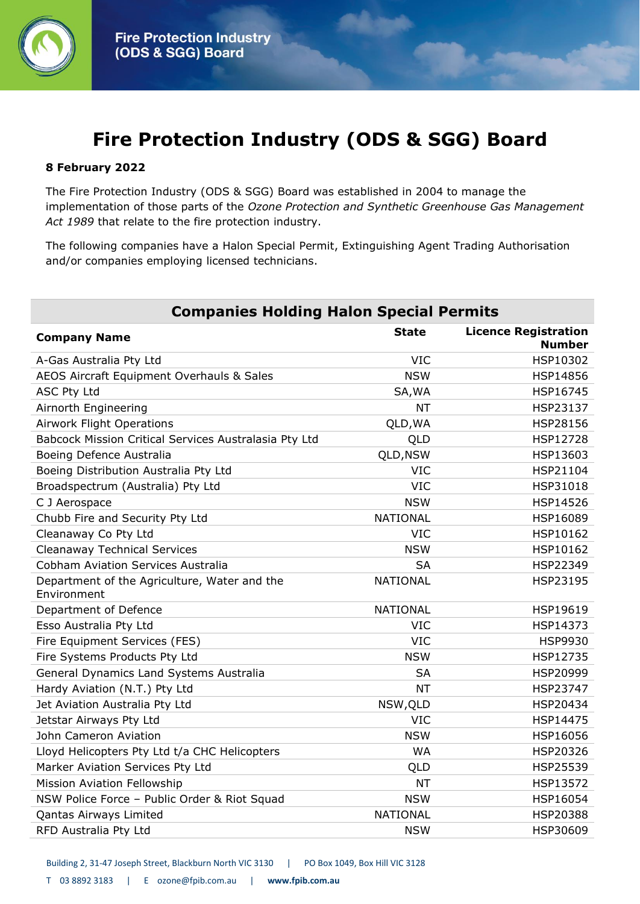

# **Fire Protection Industry (ODS & SGG) Board**

#### **8 February 2022**

The Fire Protection Industry (ODS & SGG) Board was established in 2004 to manage the implementation of those parts of the *Ozone Protection and Synthetic Greenhouse Gas Management Act 1989* that relate to the fire protection industry.

The following companies have a Halon Special Permit, Extinguishing Agent Trading Authorisation and/or companies employing licensed technicians.

| <b>Companies Holding Halon Special Permits</b>              |                 |                                              |
|-------------------------------------------------------------|-----------------|----------------------------------------------|
| <b>Company Name</b>                                         | <b>State</b>    | <b>Licence Registration</b><br><b>Number</b> |
| A-Gas Australia Pty Ltd                                     | <b>VIC</b>      | HSP10302                                     |
| AEOS Aircraft Equipment Overhauls & Sales                   | <b>NSW</b>      | <b>HSP14856</b>                              |
| <b>ASC Pty Ltd</b>                                          | SA, WA          | HSP16745                                     |
| Airnorth Engineering                                        | NT              | HSP23137                                     |
| <b>Airwork Flight Operations</b>                            | QLD, WA         | HSP28156                                     |
| Babcock Mission Critical Services Australasia Pty Ltd       | QLD             | <b>HSP12728</b>                              |
| Boeing Defence Australia                                    | QLD, NSW        | HSP13603                                     |
| Boeing Distribution Australia Pty Ltd                       | <b>VIC</b>      | HSP21104                                     |
| Broadspectrum (Australia) Pty Ltd                           | <b>VIC</b>      | HSP31018                                     |
| C J Aerospace                                               | <b>NSW</b>      | HSP14526                                     |
| Chubb Fire and Security Pty Ltd                             | <b>NATIONAL</b> | HSP16089                                     |
| Cleanaway Co Pty Ltd                                        | <b>VIC</b>      | HSP10162                                     |
| <b>Cleanaway Technical Services</b>                         | <b>NSW</b>      | HSP10162                                     |
| <b>Cobham Aviation Services Australia</b>                   | <b>SA</b>       | HSP22349                                     |
| Department of the Agriculture, Water and the<br>Environment | <b>NATIONAL</b> | HSP23195                                     |
| Department of Defence                                       | <b>NATIONAL</b> | HSP19619                                     |
| Esso Australia Pty Ltd                                      | <b>VIC</b>      | HSP14373                                     |
| Fire Equipment Services (FES)                               | <b>VIC</b>      | HSP9930                                      |
| Fire Systems Products Pty Ltd                               | <b>NSW</b>      | HSP12735                                     |
| General Dynamics Land Systems Australia                     | <b>SA</b>       | HSP20999                                     |
| Hardy Aviation (N.T.) Pty Ltd                               | <b>NT</b>       | HSP23747                                     |
| Jet Aviation Australia Pty Ltd                              | NSW, QLD        | HSP20434                                     |
| Jetstar Airways Pty Ltd                                     | <b>VIC</b>      | HSP14475                                     |
| John Cameron Aviation                                       | <b>NSW</b>      | HSP16056                                     |
| Lloyd Helicopters Pty Ltd t/a CHC Helicopters               | <b>WA</b>       | HSP20326                                     |
| Marker Aviation Services Pty Ltd                            | QLD             | HSP25539                                     |
| <b>Mission Aviation Fellowship</b>                          | <b>NT</b>       | HSP13572                                     |
| NSW Police Force - Public Order & Riot Squad                | <b>NSW</b>      | HSP16054                                     |
| Qantas Airways Limited                                      | <b>NATIONAL</b> | HSP20388                                     |
| RFD Australia Pty Ltd                                       | <b>NSW</b>      | HSP30609                                     |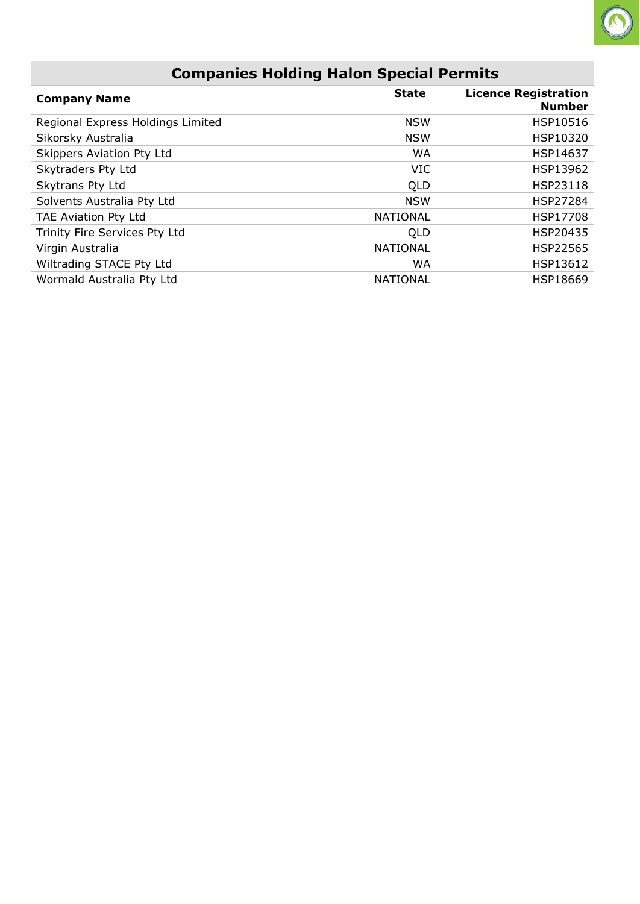#### **Companies Holding Halon Special Permits**

 $\bigcirc$ 

| <b>Company Name</b>               | <b>State</b>    | <b>Licence Registration</b><br><b>Number</b> |
|-----------------------------------|-----------------|----------------------------------------------|
| Regional Express Holdings Limited | <b>NSW</b>      | HSP10516                                     |
| Sikorsky Australia                | <b>NSW</b>      | HSP10320                                     |
| Skippers Aviation Pty Ltd         | <b>WA</b>       | HSP14637                                     |
| Skytraders Pty Ltd                | <b>VIC</b>      | HSP13962                                     |
| Skytrans Pty Ltd                  | QLD             | HSP23118                                     |
| Solvents Australia Pty Ltd        | <b>NSW</b>      | HSP27284                                     |
| TAE Aviation Pty Ltd              | <b>NATIONAL</b> | HSP17708                                     |
| Trinity Fire Services Pty Ltd     | QLD             | HSP20435                                     |
| Virgin Australia                  | <b>NATIONAL</b> | <b>HSP22565</b>                              |
| Wiltrading STACE Pty Ltd          | WA              | HSP13612                                     |
| Wormald Australia Pty Ltd         | <b>NATIONAL</b> | HSP18669                                     |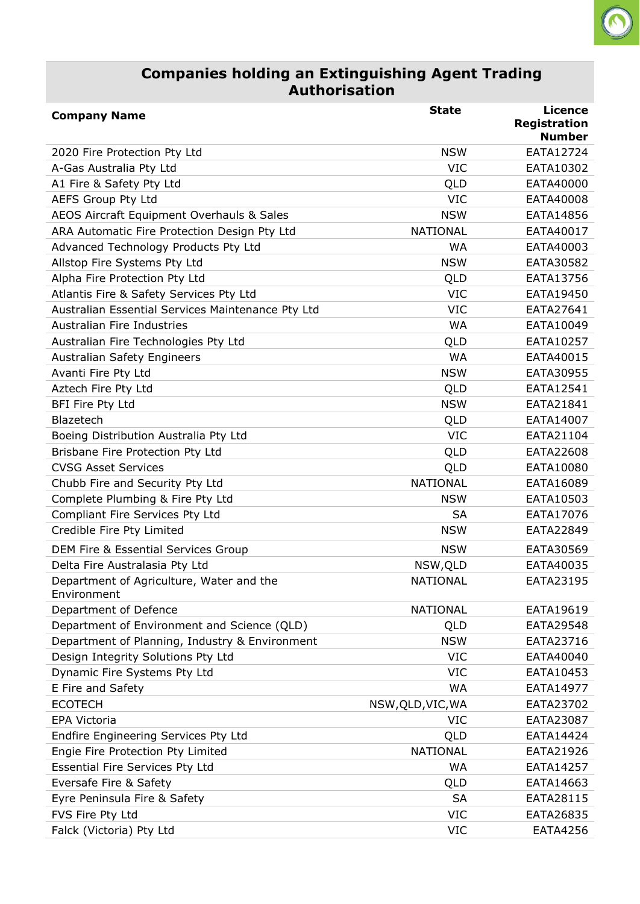#### **Companies holding an Extinguishing Agent Trading Authorisation**

 $\bigcirc$ 

| <b>Company Name</b>                                     | <b>State</b>      | <b>Licence</b><br><b>Registration</b><br><b>Number</b> |
|---------------------------------------------------------|-------------------|--------------------------------------------------------|
| 2020 Fire Protection Pty Ltd                            | <b>NSW</b>        | EATA12724                                              |
| A-Gas Australia Pty Ltd                                 | <b>VIC</b>        | EATA10302                                              |
| A1 Fire & Safety Pty Ltd                                | QLD               | EATA40000                                              |
| <b>AEFS Group Pty Ltd</b>                               | <b>VIC</b>        | EATA40008                                              |
| AEOS Aircraft Equipment Overhauls & Sales               | <b>NSW</b>        | EATA14856                                              |
| ARA Automatic Fire Protection Design Pty Ltd            | <b>NATIONAL</b>   | EATA40017                                              |
| Advanced Technology Products Pty Ltd                    | <b>WA</b>         | EATA40003                                              |
| Allstop Fire Systems Pty Ltd                            | <b>NSW</b>        | EATA30582                                              |
| Alpha Fire Protection Pty Ltd                           | QLD               | EATA13756                                              |
| Atlantis Fire & Safety Services Pty Ltd                 | <b>VIC</b>        | EATA19450                                              |
| Australian Essential Services Maintenance Pty Ltd       | <b>VIC</b>        | EATA27641                                              |
| <b>Australian Fire Industries</b>                       | <b>WA</b>         | EATA10049                                              |
| Australian Fire Technologies Pty Ltd                    | QLD               | EATA10257                                              |
| <b>Australian Safety Engineers</b>                      | <b>WA</b>         | EATA40015                                              |
| Avanti Fire Pty Ltd                                     | <b>NSW</b>        | EATA30955                                              |
| Aztech Fire Pty Ltd                                     | QLD               | EATA12541                                              |
| BFI Fire Pty Ltd                                        | <b>NSW</b>        | EATA21841                                              |
| Blazetech                                               | QLD               | EATA14007                                              |
| Boeing Distribution Australia Pty Ltd                   | <b>VIC</b>        | EATA21104                                              |
| Brisbane Fire Protection Pty Ltd                        | QLD               | EATA22608                                              |
| <b>CVSG Asset Services</b>                              | QLD               | EATA10080                                              |
| Chubb Fire and Security Pty Ltd                         | <b>NATIONAL</b>   | EATA16089                                              |
| Complete Plumbing & Fire Pty Ltd                        | <b>NSW</b>        | EATA10503                                              |
| Compliant Fire Services Pty Ltd                         | SА                | EATA17076                                              |
| Credible Fire Pty Limited                               | <b>NSW</b>        | EATA22849                                              |
| DEM Fire & Essential Services Group                     | <b>NSW</b>        | EATA30569                                              |
| Delta Fire Australasia Pty Ltd                          | NSW, QLD          | EATA40035                                              |
|                                                         | <b>NATIONAL</b>   | EATA23195                                              |
| Department of Agriculture, Water and the<br>Environment |                   |                                                        |
| Department of Defence                                   | NATIONAL          | EATA19619                                              |
| Department of Environment and Science (QLD)             | QLD               | EATA29548                                              |
| Department of Planning, Industry & Environment          | <b>NSW</b>        | EATA23716                                              |
| Design Integrity Solutions Pty Ltd                      | <b>VIC</b>        | EATA40040                                              |
| Dynamic Fire Systems Pty Ltd                            | <b>VIC</b>        | EATA10453                                              |
| E Fire and Safety                                       | <b>WA</b>         | EATA14977                                              |
| <b>ECOTECH</b>                                          | NSW, QLD, VIC, WA | EATA23702                                              |
| EPA Victoria                                            | <b>VIC</b>        | EATA23087                                              |
| Endfire Engineering Services Pty Ltd                    | QLD               | EATA14424                                              |
| Engie Fire Protection Pty Limited                       | NATIONAL          | EATA21926                                              |
| Essential Fire Services Pty Ltd                         | WA                | EATA14257                                              |
| Eversafe Fire & Safety                                  | QLD               | EATA14663                                              |
| Eyre Peninsula Fire & Safety                            | <b>SA</b>         | EATA28115                                              |
| FVS Fire Pty Ltd                                        | <b>VIC</b>        | EATA26835                                              |
| Falck (Victoria) Pty Ltd                                | <b>VIC</b>        | EATA4256                                               |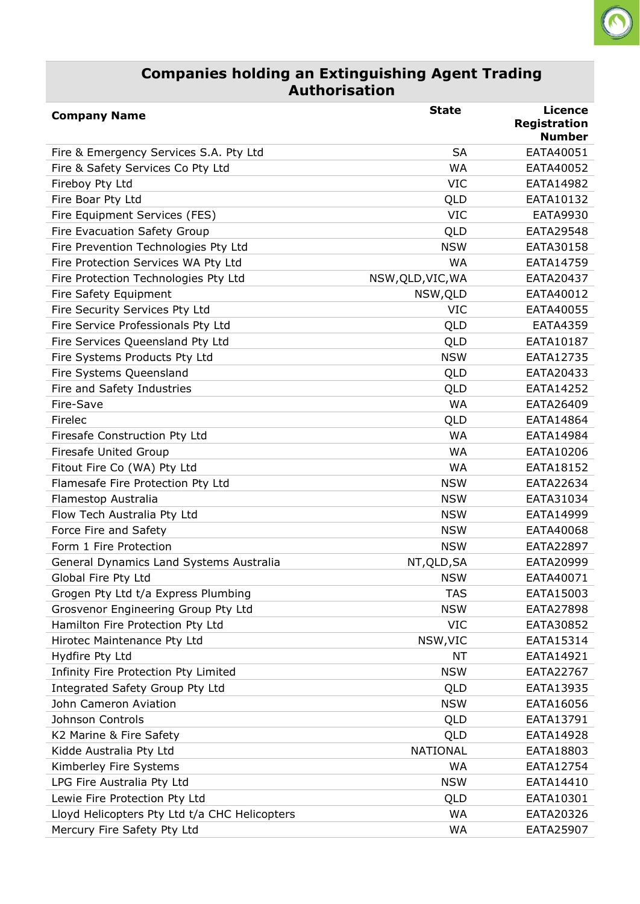#### **Companies holding an Extinguishing Agent Trading Authorisation**

 $\bigcirc$ 

| <b>Company Name</b>                           | <b>State</b>      | <b>Licence</b><br><b>Registration</b> |
|-----------------------------------------------|-------------------|---------------------------------------|
|                                               |                   | <b>Number</b>                         |
| Fire & Emergency Services S.A. Pty Ltd        | <b>SA</b>         | EATA40051                             |
| Fire & Safety Services Co Pty Ltd             | WA                | EATA40052                             |
| Fireboy Pty Ltd                               | <b>VIC</b>        | EATA14982                             |
| Fire Boar Pty Ltd                             | QLD               | EATA10132                             |
| Fire Equipment Services (FES)                 | <b>VIC</b>        | <b>EATA9930</b>                       |
| Fire Evacuation Safety Group                  | QLD               | EATA29548                             |
| Fire Prevention Technologies Pty Ltd          | <b>NSW</b>        | EATA30158                             |
| Fire Protection Services WA Pty Ltd           | WA                | EATA14759                             |
| Fire Protection Technologies Pty Ltd          | NSW, QLD, VIC, WA | EATA20437                             |
| Fire Safety Equipment                         | NSW, QLD          | EATA40012                             |
| Fire Security Services Pty Ltd                | <b>VIC</b>        | EATA40055                             |
| Fire Service Professionals Pty Ltd            | QLD               | <b>EATA4359</b>                       |
| Fire Services Queensland Pty Ltd              | QLD               | EATA10187                             |
| Fire Systems Products Pty Ltd                 | <b>NSW</b>        | EATA12735                             |
| Fire Systems Queensland                       | QLD               | EATA20433                             |
| Fire and Safety Industries                    | QLD               | EATA14252                             |
| Fire-Save                                     | <b>WA</b>         | EATA26409                             |
| Firelec                                       | QLD               | EATA14864                             |
| Firesafe Construction Pty Ltd                 | <b>WA</b>         | EATA14984                             |
| <b>Firesafe United Group</b>                  | <b>WA</b>         | EATA10206                             |
| Fitout Fire Co (WA) Pty Ltd                   | <b>WA</b>         | EATA18152                             |
| Flamesafe Fire Protection Pty Ltd             | <b>NSW</b>        | EATA22634                             |
| Flamestop Australia                           | <b>NSW</b>        | EATA31034                             |
| Flow Tech Australia Pty Ltd                   | <b>NSW</b>        | EATA14999                             |
| Force Fire and Safety                         | <b>NSW</b>        | EATA40068                             |
| Form 1 Fire Protection                        | <b>NSW</b>        | EATA22897                             |
| General Dynamics Land Systems Australia       | NT, QLD, SA       | EATA20999                             |
| Global Fire Pty Ltd                           | <b>NSW</b>        | EATA40071                             |
| Grogen Pty Ltd t/a Express Plumbing           | <b>TAS</b>        | EATA15003                             |
| Grosvenor Engineering Group Pty Ltd           | <b>NSW</b>        | EATA27898                             |
| Hamilton Fire Protection Pty Ltd              | <b>VIC</b>        | EATA30852                             |
| Hirotec Maintenance Pty Ltd                   | NSW, VIC          | EATA15314                             |
| Hydfire Pty Ltd                               | <b>NT</b>         | EATA14921                             |
| Infinity Fire Protection Pty Limited          | <b>NSW</b>        | EATA22767                             |
| Integrated Safety Group Pty Ltd               | QLD               | EATA13935                             |
| John Cameron Aviation                         | <b>NSW</b>        | EATA16056                             |
| Johnson Controls                              | QLD               | EATA13791                             |
| K2 Marine & Fire Safety                       | QLD               | EATA14928                             |
| Kidde Australia Pty Ltd                       | <b>NATIONAL</b>   | EATA18803                             |
| Kimberley Fire Systems                        | <b>WA</b>         | EATA12754                             |
| LPG Fire Australia Pty Ltd                    | <b>NSW</b>        | EATA14410                             |
| Lewie Fire Protection Pty Ltd                 | QLD               | EATA10301                             |
| Lloyd Helicopters Pty Ltd t/a CHC Helicopters | <b>WA</b>         | EATA20326                             |
| Mercury Fire Safety Pty Ltd                   | WA                | EATA25907                             |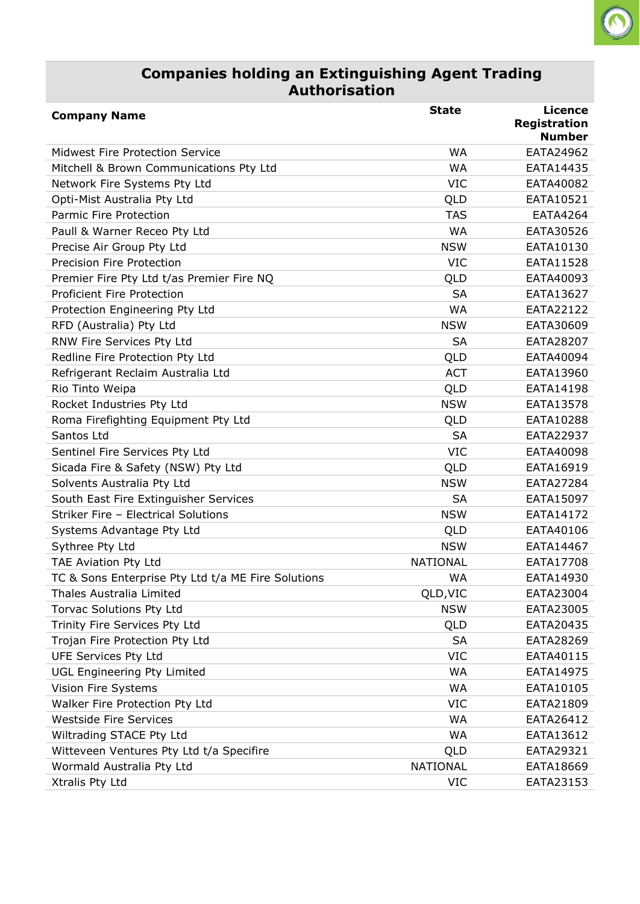#### **Companies holding an Extinguishing Agent Trading Authorisation**

 $\Omega$ 

| <b>Company Name</b>                                | <b>State</b>    | <b>Licence</b><br><b>Registration</b> |
|----------------------------------------------------|-----------------|---------------------------------------|
|                                                    |                 | <b>Number</b>                         |
| <b>Midwest Fire Protection Service</b>             | <b>WA</b>       | EATA24962                             |
| Mitchell & Brown Communications Pty Ltd            | <b>WA</b>       | EATA14435                             |
| Network Fire Systems Pty Ltd                       | <b>VIC</b>      | EATA40082                             |
| Opti-Mist Australia Pty Ltd                        | QLD             | EATA10521                             |
| <b>Parmic Fire Protection</b>                      | <b>TAS</b>      | EATA4264                              |
| Paull & Warner Receo Pty Ltd                       | <b>WA</b>       | EATA30526                             |
| Precise Air Group Pty Ltd                          | <b>NSW</b>      | EATA10130                             |
| Precision Fire Protection                          | <b>VIC</b>      | EATA11528                             |
| Premier Fire Pty Ltd t/as Premier Fire NQ          | QLD             | EATA40093                             |
| <b>Proficient Fire Protection</b>                  | <b>SA</b>       | EATA13627                             |
| Protection Engineering Pty Ltd                     | <b>WA</b>       | EATA22122                             |
| RFD (Australia) Pty Ltd                            | <b>NSW</b>      | EATA30609                             |
| RNW Fire Services Pty Ltd                          | <b>SA</b>       | EATA28207                             |
| Redline Fire Protection Pty Ltd                    | QLD             | EATA40094                             |
| Refrigerant Reclaim Australia Ltd                  | <b>ACT</b>      | EATA13960                             |
| Rio Tinto Weipa                                    | QLD             | EATA14198                             |
| Rocket Industries Pty Ltd                          | <b>NSW</b>      | EATA13578                             |
| Roma Firefighting Equipment Pty Ltd                | QLD             | EATA10288                             |
| Santos Ltd                                         | <b>SA</b>       | EATA22937                             |
| Sentinel Fire Services Pty Ltd                     | <b>VIC</b>      | EATA40098                             |
| Sicada Fire & Safety (NSW) Pty Ltd                 | QLD             | EATA16919                             |
| Solvents Australia Pty Ltd                         | <b>NSW</b>      | EATA27284                             |
| South East Fire Extinguisher Services              | <b>SA</b>       | EATA15097                             |
| Striker Fire - Electrical Solutions                | <b>NSW</b>      | EATA14172                             |
| Systems Advantage Pty Ltd                          | QLD             | EATA40106                             |
| Sythree Pty Ltd                                    | <b>NSW</b>      | EATA14467                             |
| TAE Aviation Pty Ltd                               | <b>NATIONAL</b> | EATA17708                             |
| TC & Sons Enterprise Pty Ltd t/a ME Fire Solutions | WA              | EATA14930                             |
| Thales Australia Limited                           | QLD, VIC        | EATA23004                             |
| Torvac Solutions Pty Ltd                           | <b>NSW</b>      | EATA23005                             |
| Trinity Fire Services Pty Ltd                      | QLD             | EATA20435                             |
| Trojan Fire Protection Pty Ltd                     | <b>SA</b>       | EATA28269                             |
| <b>UFE Services Pty Ltd</b>                        | <b>VIC</b>      | EATA40115                             |
| <b>UGL Engineering Pty Limited</b>                 | WA              | EATA14975                             |
| Vision Fire Systems                                | WA              | EATA10105                             |
| Walker Fire Protection Pty Ltd                     | <b>VIC</b>      | EATA21809                             |
| <b>Westside Fire Services</b>                      | WA              | EATA26412                             |
| Wiltrading STACE Pty Ltd                           | WA              | EATA13612                             |
| Witteveen Ventures Pty Ltd t/a Specifire           | QLD             | EATA29321                             |
| Wormald Australia Pty Ltd                          | <b>NATIONAL</b> | EATA18669                             |
| Xtralis Pty Ltd                                    | VIC             | EATA23153                             |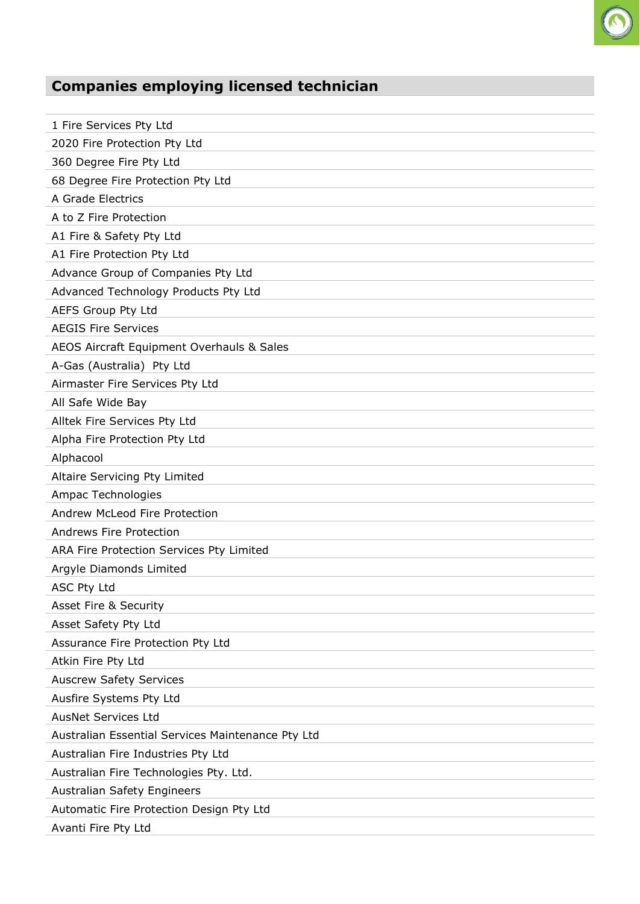

| 1 Fire Services Pty Ltd                           |
|---------------------------------------------------|
| 2020 Fire Protection Pty Ltd                      |
| 360 Degree Fire Pty Ltd                           |
| 68 Degree Fire Protection Pty Ltd                 |
| A Grade Electrics                                 |
| A to Z Fire Protection                            |
| A1 Fire & Safety Pty Ltd                          |
| A1 Fire Protection Pty Ltd                        |
| Advance Group of Companies Pty Ltd                |
| Advanced Technology Products Pty Ltd              |
| AEFS Group Pty Ltd                                |
| <b>AEGIS Fire Services</b>                        |
| AEOS Aircraft Equipment Overhauls & Sales         |
| A-Gas (Australia) Pty Ltd                         |
| Airmaster Fire Services Pty Ltd                   |
| All Safe Wide Bay                                 |
| Alltek Fire Services Pty Ltd                      |
| Alpha Fire Protection Pty Ltd                     |
| Alphacool                                         |
| Altaire Servicing Pty Limited                     |
| Ampac Technologies                                |
| Andrew McLeod Fire Protection                     |
| Andrews Fire Protection                           |
| ARA Fire Protection Services Pty Limited          |
| Argyle Diamonds Limited                           |
| <b>ASC Pty Ltd</b>                                |
| Asset Fire & Security                             |
| Asset Safety Pty Ltd                              |
| Assurance Fire Protection Pty Ltd                 |
| Atkin Fire Pty Ltd                                |
| <b>Auscrew Safety Services</b>                    |
| Ausfire Systems Pty Ltd                           |
| <b>AusNet Services Ltd</b>                        |
| Australian Essential Services Maintenance Pty Ltd |
| Australian Fire Industries Pty Ltd                |
| Australian Fire Technologies Pty. Ltd.            |
| Australian Safety Engineers                       |
| Automatic Fire Protection Design Pty Ltd          |
| Avanti Fire Pty Ltd                               |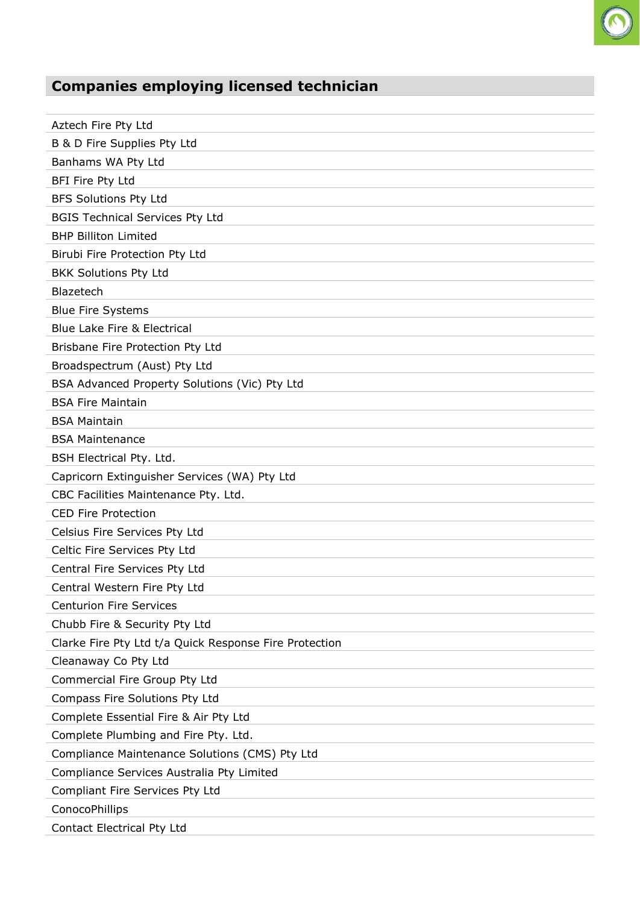

| Aztech Fire Pty Ltd                                    |
|--------------------------------------------------------|
| B & D Fire Supplies Pty Ltd                            |
| Banhams WA Pty Ltd                                     |
| BFI Fire Pty Ltd                                       |
| <b>BFS Solutions Pty Ltd</b>                           |
| <b>BGIS Technical Services Pty Ltd</b>                 |
| <b>BHP Billiton Limited</b>                            |
| Birubi Fire Protection Pty Ltd                         |
| <b>BKK Solutions Pty Ltd</b>                           |
| Blazetech                                              |
| <b>Blue Fire Systems</b>                               |
| <b>Blue Lake Fire &amp; Electrical</b>                 |
| Brisbane Fire Protection Pty Ltd                       |
| Broadspectrum (Aust) Pty Ltd                           |
| BSA Advanced Property Solutions (Vic) Pty Ltd          |
| <b>BSA Fire Maintain</b>                               |
| <b>BSA Maintain</b>                                    |
| <b>BSA Maintenance</b>                                 |
| BSH Electrical Pty. Ltd.                               |
| Capricorn Extinguisher Services (WA) Pty Ltd           |
| CBC Facilities Maintenance Pty. Ltd.                   |
| <b>CED Fire Protection</b>                             |
| Celsius Fire Services Pty Ltd                          |
| Celtic Fire Services Pty Ltd                           |
| Central Fire Services Pty Ltd                          |
| Central Western Fire Pty Ltd                           |
| <b>Centurion Fire Services</b>                         |
| Chubb Fire & Security Pty Ltd                          |
| Clarke Fire Pty Ltd t/a Quick Response Fire Protection |
| Cleanaway Co Pty Ltd                                   |
| Commercial Fire Group Pty Ltd                          |
| Compass Fire Solutions Pty Ltd                         |
| Complete Essential Fire & Air Pty Ltd                  |
| Complete Plumbing and Fire Pty. Ltd.                   |
| Compliance Maintenance Solutions (CMS) Pty Ltd         |
| Compliance Services Australia Pty Limited              |
| Compliant Fire Services Pty Ltd                        |
| ConocoPhillips                                         |
| Contact Electrical Pty Ltd                             |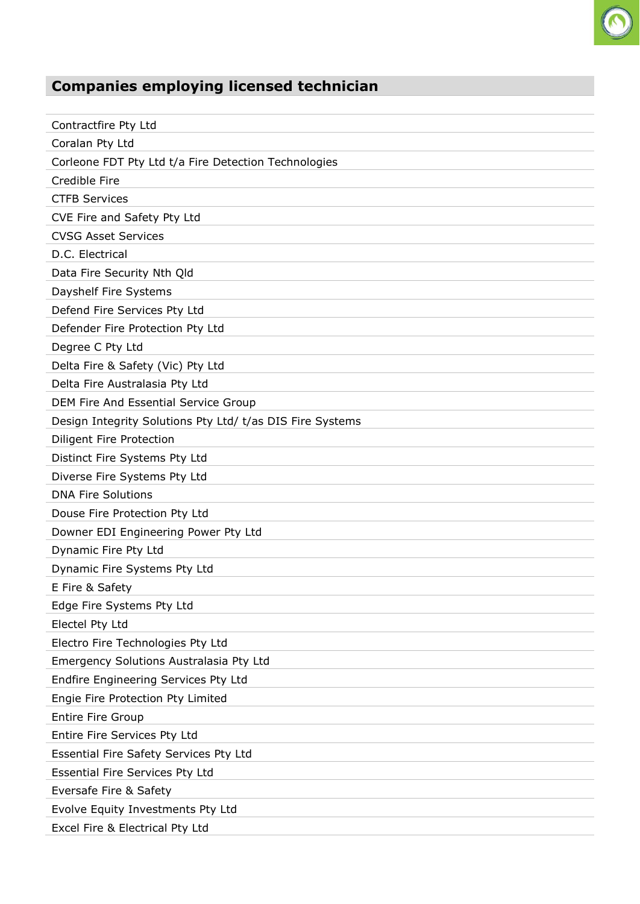| Contractfire Pty Ltd                                      |
|-----------------------------------------------------------|
| Coralan Pty Ltd                                           |
| Corleone FDT Pty Ltd t/a Fire Detection Technologies      |
| Credible Fire                                             |
| <b>CTFB Services</b>                                      |
| CVE Fire and Safety Pty Ltd                               |
| <b>CVSG Asset Services</b>                                |
| D.C. Electrical                                           |
| Data Fire Security Nth Qld                                |
| Dayshelf Fire Systems                                     |
| Defend Fire Services Pty Ltd                              |
| Defender Fire Protection Pty Ltd                          |
| Degree C Pty Ltd                                          |
| Delta Fire & Safety (Vic) Pty Ltd                         |
| Delta Fire Australasia Pty Ltd                            |
| DEM Fire And Essential Service Group                      |
| Design Integrity Solutions Pty Ltd/ t/as DIS Fire Systems |
| Diligent Fire Protection                                  |
| Distinct Fire Systems Pty Ltd                             |
| Diverse Fire Systems Pty Ltd                              |
| <b>DNA Fire Solutions</b>                                 |
| Douse Fire Protection Pty Ltd                             |
| Downer EDI Engineering Power Pty Ltd                      |
| Dynamic Fire Pty Ltd                                      |
| Dynamic Fire Systems Pty Ltd                              |
| E Fire & Safety                                           |
| Edge Fire Systems Pty Ltd                                 |
| Electel Pty Ltd                                           |
| Electro Fire Technologies Pty Ltd                         |
| Emergency Solutions Australasia Pty Ltd                   |
| Endfire Engineering Services Pty Ltd                      |
| Engie Fire Protection Pty Limited                         |
| <b>Entire Fire Group</b>                                  |
| Entire Fire Services Pty Ltd                              |
| Essential Fire Safety Services Pty Ltd                    |
| <b>Essential Fire Services Pty Ltd</b>                    |
| Eversafe Fire & Safety                                    |
| Evolve Equity Investments Pty Ltd                         |
| Excel Fire & Electrical Pty Ltd                           |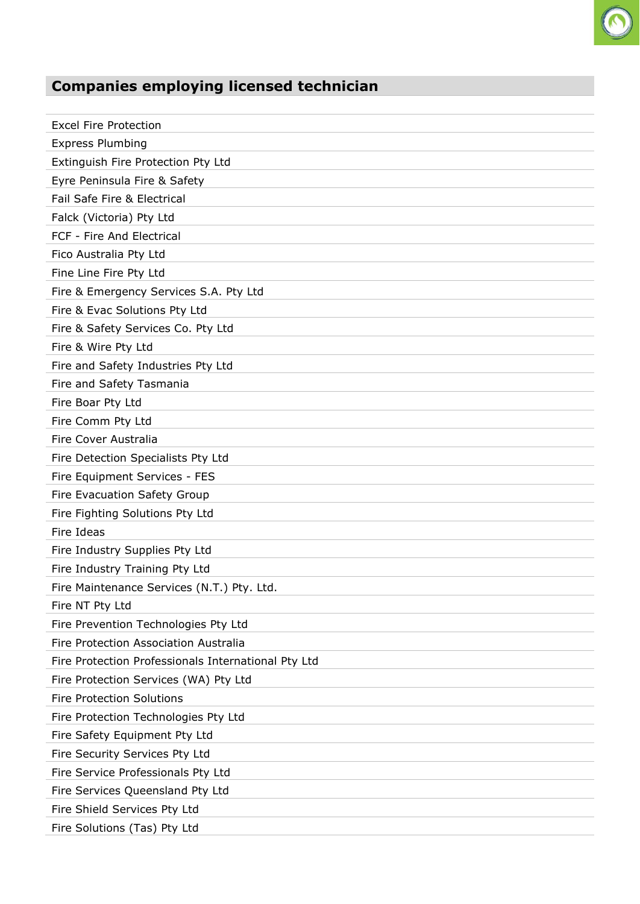

| <b>Excel Fire Protection</b>                        |
|-----------------------------------------------------|
| <b>Express Plumbing</b>                             |
| Extinguish Fire Protection Pty Ltd                  |
| Eyre Peninsula Fire & Safety                        |
| Fail Safe Fire & Electrical                         |
| Falck (Victoria) Pty Ltd                            |
| FCF - Fire And Electrical                           |
| Fico Australia Pty Ltd                              |
| Fine Line Fire Pty Ltd                              |
| Fire & Emergency Services S.A. Pty Ltd              |
| Fire & Evac Solutions Pty Ltd                       |
| Fire & Safety Services Co. Pty Ltd                  |
| Fire & Wire Pty Ltd                                 |
| Fire and Safety Industries Pty Ltd                  |
| Fire and Safety Tasmania                            |
| Fire Boar Pty Ltd                                   |
| Fire Comm Pty Ltd                                   |
| Fire Cover Australia                                |
| Fire Detection Specialists Pty Ltd                  |
| Fire Equipment Services - FES                       |
| Fire Evacuation Safety Group                        |
| Fire Fighting Solutions Pty Ltd                     |
| Fire Ideas                                          |
| Fire Industry Supplies Pty Ltd                      |
| Fire Industry Training Pty Ltd                      |
| Fire Maintenance Services (N.T.) Pty. Ltd.          |
| Fire NT Pty Ltd                                     |
| Fire Prevention Technologies Pty Ltd                |
| Fire Protection Association Australia               |
| Fire Protection Professionals International Pty Ltd |
| Fire Protection Services (WA) Pty Ltd               |
| <b>Fire Protection Solutions</b>                    |
| Fire Protection Technologies Pty Ltd                |
| Fire Safety Equipment Pty Ltd                       |
| Fire Security Services Pty Ltd                      |
| Fire Service Professionals Pty Ltd                  |
| Fire Services Queensland Pty Ltd                    |
| Fire Shield Services Pty Ltd                        |
| Fire Solutions (Tas) Pty Ltd                        |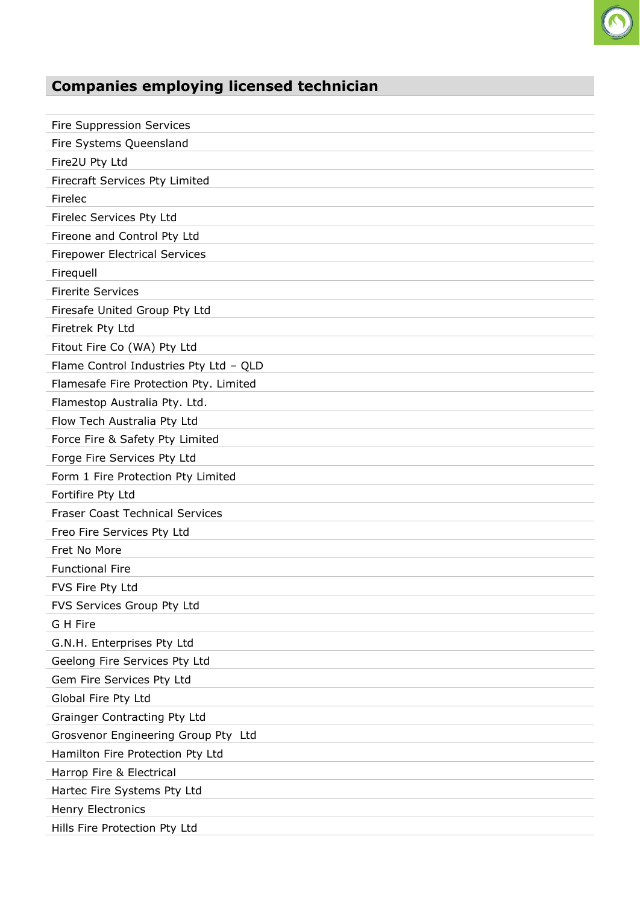

| <b>Fire Suppression Services</b>       |
|----------------------------------------|
| Fire Systems Queensland                |
| Fire2U Pty Ltd                         |
| Firecraft Services Pty Limited         |
| Firelec                                |
| Firelec Services Pty Ltd               |
| Fireone and Control Pty Ltd            |
| <b>Firepower Electrical Services</b>   |
| Firequell                              |
| <b>Firerite Services</b>               |
| Firesafe United Group Pty Ltd          |
| Firetrek Pty Ltd                       |
| Fitout Fire Co (WA) Pty Ltd            |
| Flame Control Industries Pty Ltd - QLD |
| Flamesafe Fire Protection Pty. Limited |
| Flamestop Australia Pty. Ltd.          |
| Flow Tech Australia Pty Ltd            |
| Force Fire & Safety Pty Limited        |
| Forge Fire Services Pty Ltd            |
| Form 1 Fire Protection Pty Limited     |
| Fortifire Pty Ltd                      |
| <b>Fraser Coast Technical Services</b> |
| Freo Fire Services Pty Ltd             |
| Fret No More                           |
| <b>Functional Fire</b>                 |
| FVS Fire Pty Ltd                       |
| FVS Services Group Pty Ltd             |
| G H Fire                               |
| G.N.H. Enterprises Pty Ltd             |
| Geelong Fire Services Pty Ltd          |
| Gem Fire Services Pty Ltd              |
| Global Fire Pty Ltd                    |
| Grainger Contracting Pty Ltd           |
| Grosvenor Engineering Group Pty Ltd    |
| Hamilton Fire Protection Pty Ltd       |
| Harrop Fire & Electrical               |
| Hartec Fire Systems Pty Ltd            |
| Henry Electronics                      |
| Hills Fire Protection Pty Ltd          |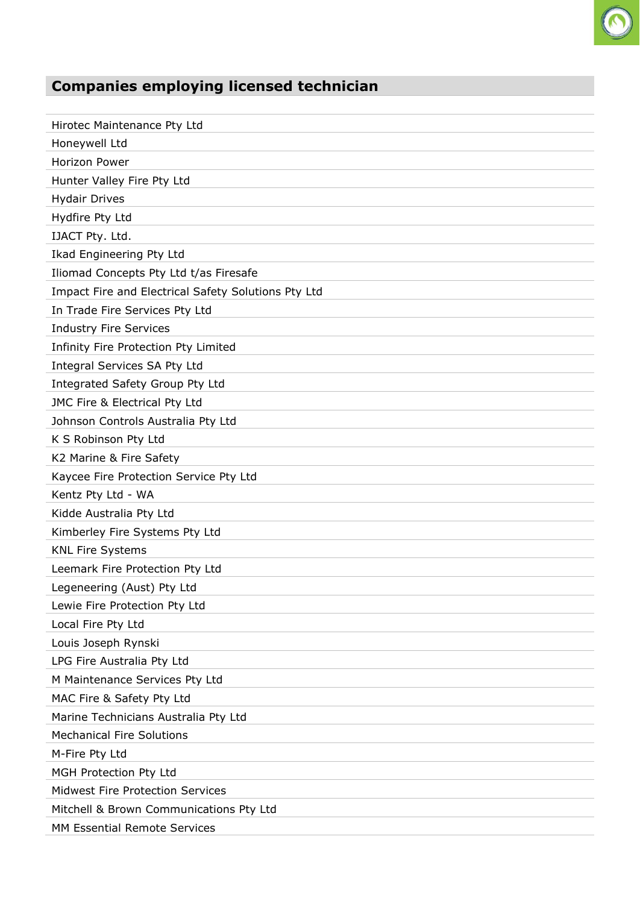

| Hirotec Maintenance Pty Ltd                         |
|-----------------------------------------------------|
| Honeywell Ltd                                       |
| Horizon Power                                       |
| Hunter Valley Fire Pty Ltd                          |
| <b>Hydair Drives</b>                                |
| Hydfire Pty Ltd                                     |
| IJACT Pty. Ltd.                                     |
| Ikad Engineering Pty Ltd                            |
| Iliomad Concepts Pty Ltd t/as Firesafe              |
| Impact Fire and Electrical Safety Solutions Pty Ltd |
| In Trade Fire Services Pty Ltd                      |
| <b>Industry Fire Services</b>                       |
| Infinity Fire Protection Pty Limited                |
| Integral Services SA Pty Ltd                        |
| Integrated Safety Group Pty Ltd                     |
| JMC Fire & Electrical Pty Ltd                       |
| Johnson Controls Australia Pty Ltd                  |
| K S Robinson Pty Ltd                                |
| K2 Marine & Fire Safety                             |
| Kaycee Fire Protection Service Pty Ltd              |
| Kentz Pty Ltd - WA                                  |
| Kidde Australia Pty Ltd                             |
| Kimberley Fire Systems Pty Ltd                      |
| <b>KNL Fire Systems</b>                             |
| Leemark Fire Protection Pty Ltd                     |
| Legeneering (Aust) Pty Ltd                          |
| Lewie Fire Protection Pty Ltd                       |
| Local Fire Pty Ltd                                  |
| Louis Joseph Rynski                                 |
| LPG Fire Australia Pty Ltd                          |
| M Maintenance Services Pty Ltd                      |
| MAC Fire & Safety Pty Ltd                           |
| Marine Technicians Australia Pty Ltd                |
| <b>Mechanical Fire Solutions</b>                    |
| M-Fire Pty Ltd                                      |
| MGH Protection Pty Ltd                              |
| <b>Midwest Fire Protection Services</b>             |
| Mitchell & Brown Communications Pty Ltd             |
| MM Essential Remote Services                        |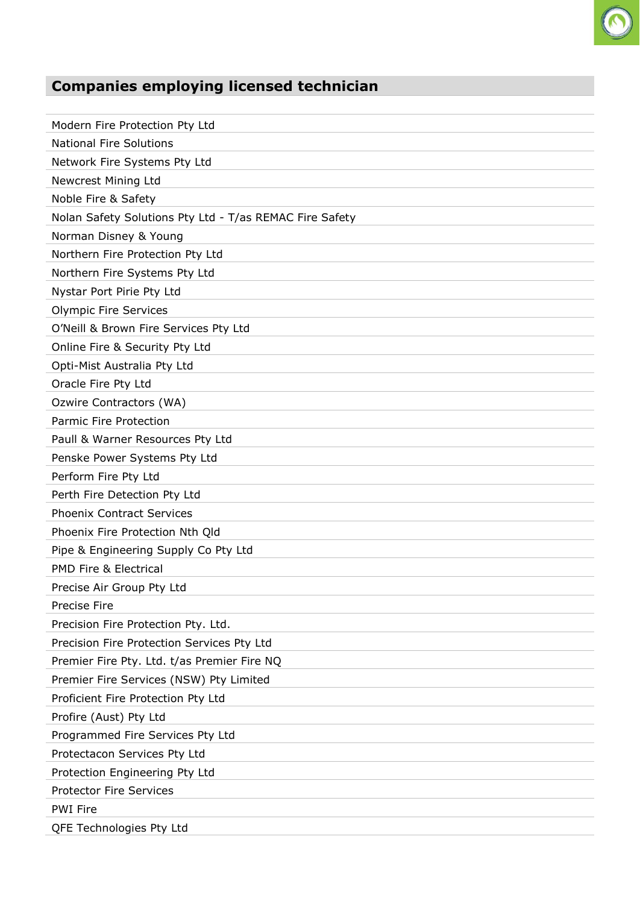

| Modern Fire Protection Pty Ltd                          |
|---------------------------------------------------------|
| <b>National Fire Solutions</b>                          |
| Network Fire Systems Pty Ltd                            |
| Newcrest Mining Ltd                                     |
| Noble Fire & Safety                                     |
| Nolan Safety Solutions Pty Ltd - T/as REMAC Fire Safety |
| Norman Disney & Young                                   |
| Northern Fire Protection Pty Ltd                        |
| Northern Fire Systems Pty Ltd                           |
| Nystar Port Pirie Pty Ltd                               |
| <b>Olympic Fire Services</b>                            |
| O'Neill & Brown Fire Services Pty Ltd                   |
| Online Fire & Security Pty Ltd                          |
| Opti-Mist Australia Pty Ltd                             |
| Oracle Fire Pty Ltd                                     |
| Ozwire Contractors (WA)                                 |
| Parmic Fire Protection                                  |
| Paull & Warner Resources Pty Ltd                        |
| Penske Power Systems Pty Ltd                            |
| Perform Fire Pty Ltd                                    |
| Perth Fire Detection Pty Ltd                            |
| <b>Phoenix Contract Services</b>                        |
| Phoenix Fire Protection Nth Qld                         |
| Pipe & Engineering Supply Co Pty Ltd                    |
| <b>PMD Fire &amp; Electrical</b>                        |
| Precise Air Group Pty Ltd                               |
| Precise Fire                                            |
| Precision Fire Protection Pty. Ltd.                     |
| Precision Fire Protection Services Pty Ltd              |
| Premier Fire Pty. Ltd. t/as Premier Fire NQ             |
| Premier Fire Services (NSW) Pty Limited                 |
| Proficient Fire Protection Pty Ltd                      |
| Profire (Aust) Pty Ltd                                  |
| Programmed Fire Services Pty Ltd                        |
| Protectacon Services Pty Ltd                            |
| Protection Engineering Pty Ltd                          |
| <b>Protector Fire Services</b>                          |
| <b>PWI Fire</b>                                         |
| QFE Technologies Pty Ltd                                |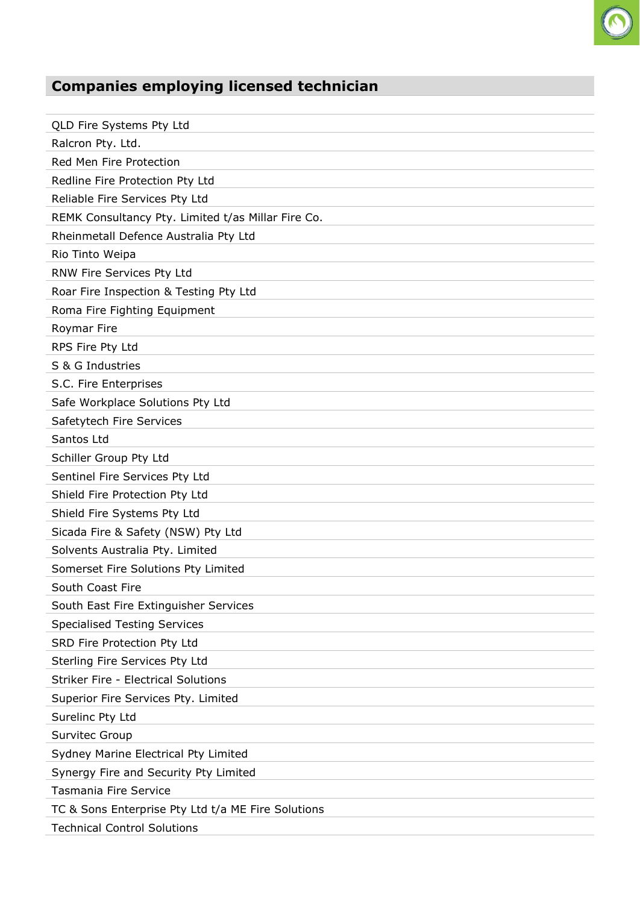

| QLD Fire Systems Pty Ltd                           |
|----------------------------------------------------|
| Ralcron Pty. Ltd.                                  |
| Red Men Fire Protection                            |
| Redline Fire Protection Pty Ltd                    |
| Reliable Fire Services Pty Ltd                     |
| REMK Consultancy Pty. Limited t/as Millar Fire Co. |
| Rheinmetall Defence Australia Pty Ltd              |
| Rio Tinto Weipa                                    |
| RNW Fire Services Pty Ltd                          |
| Roar Fire Inspection & Testing Pty Ltd             |
| Roma Fire Fighting Equipment                       |
| Roymar Fire                                        |
| RPS Fire Pty Ltd                                   |
| S & G Industries                                   |
| S.C. Fire Enterprises                              |
| Safe Workplace Solutions Pty Ltd                   |
| Safetytech Fire Services                           |
| Santos Ltd                                         |
| Schiller Group Pty Ltd                             |
| Sentinel Fire Services Pty Ltd                     |
| Shield Fire Protection Pty Ltd                     |
| Shield Fire Systems Pty Ltd                        |
| Sicada Fire & Safety (NSW) Pty Ltd                 |
| Solvents Australia Pty. Limited                    |
| Somerset Fire Solutions Pty Limited                |
| South Coast Fire                                   |
| South East Fire Extinguisher Services              |
| <b>Specialised Testing Services</b>                |
| SRD Fire Protection Pty Ltd                        |
| Sterling Fire Services Pty Ltd                     |
| <b>Striker Fire - Electrical Solutions</b>         |
| Superior Fire Services Pty. Limited                |
| Surelinc Pty Ltd                                   |
| <b>Survitec Group</b>                              |
| Sydney Marine Electrical Pty Limited               |
| Synergy Fire and Security Pty Limited              |
| <b>Tasmania Fire Service</b>                       |
| TC & Sons Enterprise Pty Ltd t/a ME Fire Solutions |
| <b>Technical Control Solutions</b>                 |